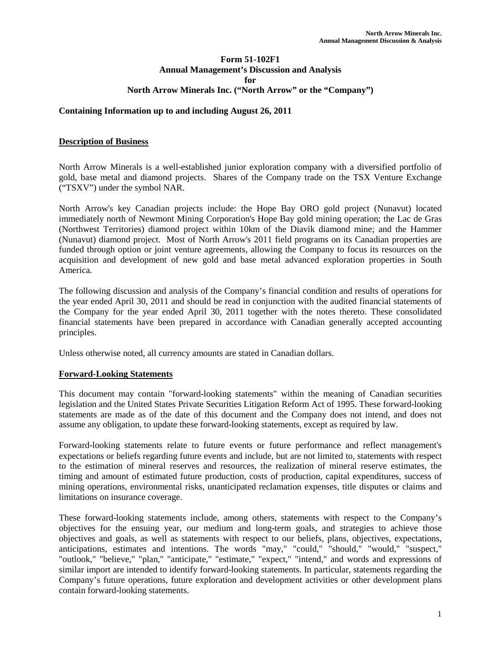### **Form 51-102F1 Annual Management's Discussion and Analysis for North Arrow Minerals Inc. ("North Arrow" or the "Company")**

### **Containing Information up to and including August 26, 2011**

### **Description of Business**

North Arrow Minerals is a well-established junior exploration company with a diversified portfolio of gold, base metal and diamond projects. Shares of the Company trade on the TSX Venture Exchange ("TSXV") under the symbol NAR.

North Arrow's key Canadian projects include: the Hope Bay ORO gold project (Nunavut) located immediately north of Newmont Mining Corporation's Hope Bay gold mining operation; the Lac de Gras (Northwest Territories) diamond project within 10km of the Diavik diamond mine; and the Hammer (Nunavut) diamond project. Most of North Arrow's 2011 field programs on its Canadian properties are funded through option or joint venture agreements, allowing the Company to focus its resources on the acquisition and development of new gold and base metal advanced exploration properties in South America.

The following discussion and analysis of the Company's financial condition and results of operations for the year ended April 30, 2011 and should be read in conjunction with the audited financial statements of the Company for the year ended April 30, 2011 together with the notes thereto. These consolidated financial statements have been prepared in accordance with Canadian generally accepted accounting principles.

Unless otherwise noted, all currency amounts are stated in Canadian dollars.

#### **Forward-Looking Statements**

This document may contain "forward-looking statements" within the meaning of Canadian securities legislation and the United States Private Securities Litigation Reform Act of 1995. These forward-looking statements are made as of the date of this document and the Company does not intend, and does not assume any obligation, to update these forward-looking statements, except as required by law.

Forward-looking statements relate to future events or future performance and reflect management's expectations or beliefs regarding future events and include, but are not limited to, statements with respect to the estimation of mineral reserves and resources, the realization of mineral reserve estimates, the timing and amount of estimated future production, costs of production, capital expenditures, success of mining operations, environmental risks, unanticipated reclamation expenses, title disputes or claims and limitations on insurance coverage.

These forward-looking statements include, among others, statements with respect to the Company's objectives for the ensuing year, our medium and long-term goals, and strategies to achieve those objectives and goals, as well as statements with respect to our beliefs, plans, objectives, expectations, anticipations, estimates and intentions. The words "may," "could," "should," "would," "suspect," "outlook," "believe," "plan," "anticipate," "estimate," "expect," "intend," and words and expressions of similar import are intended to identify forward-looking statements. In particular, statements regarding the Company's future operations, future exploration and development activities or other development plans contain forward-looking statements.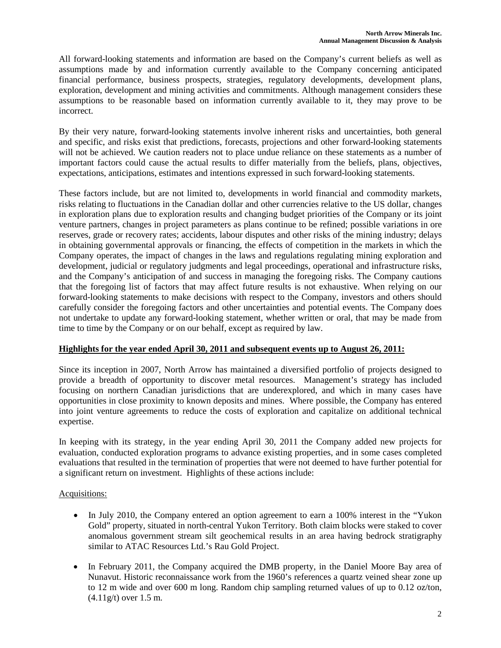All forward-looking statements and information are based on the Company's current beliefs as well as assumptions made by and information currently available to the Company concerning anticipated financial performance, business prospects, strategies, regulatory developments, development plans, exploration, development and mining activities and commitments. Although management considers these assumptions to be reasonable based on information currently available to it, they may prove to be incorrect.

By their very nature, forward-looking statements involve inherent risks and uncertainties, both general and specific, and risks exist that predictions, forecasts, projections and other forward-looking statements will not be achieved. We caution readers not to place undue reliance on these statements as a number of important factors could cause the actual results to differ materially from the beliefs, plans, objectives, expectations, anticipations, estimates and intentions expressed in such forward-looking statements.

These factors include, but are not limited to, developments in world financial and commodity markets, risks relating to fluctuations in the Canadian dollar and other currencies relative to the US dollar, changes in exploration plans due to exploration results and changing budget priorities of the Company or its joint venture partners, changes in project parameters as plans continue to be refined; possible variations in ore reserves, grade or recovery rates; accidents, labour disputes and other risks of the mining industry; delays in obtaining governmental approvals or financing, the effects of competition in the markets in which the Company operates, the impact of changes in the laws and regulations regulating mining exploration and development, judicial or regulatory judgments and legal proceedings, operational and infrastructure risks, and the Company's anticipation of and success in managing the foregoing risks. The Company cautions that the foregoing list of factors that may affect future results is not exhaustive. When relying on our forward-looking statements to make decisions with respect to the Company, investors and others should carefully consider the foregoing factors and other uncertainties and potential events. The Company does not undertake to update any forward-looking statement, whether written or oral, that may be made from time to time by the Company or on our behalf, except as required by law.

## **Highlights for the year ended April 30, 2011 and subsequent events up to August 26, 2011:**

Since its inception in 2007, North Arrow has maintained a diversified portfolio of projects designed to provide a breadth of opportunity to discover metal resources. Management's strategy has included focusing on northern Canadian jurisdictions that are underexplored, and which in many cases have opportunities in close proximity to known deposits and mines. Where possible, the Company has entered into joint venture agreements to reduce the costs of exploration and capitalize on additional technical expertise.

In keeping with its strategy, in the year ending April 30, 2011 the Company added new projects for evaluation, conducted exploration programs to advance existing properties, and in some cases completed evaluations that resulted in the termination of properties that were not deemed to have further potential for a significant return on investment. Highlights of these actions include:

## Acquisitions:

- In July 2010, the Company entered an option agreement to earn a 100% interest in the "Yukon" Gold" property, situated in north-central Yukon Territory. Both claim blocks were staked to cover anomalous government stream silt geochemical results in an area having bedrock stratigraphy similar to ATAC Resources Ltd.'s Rau Gold Project.
- In February 2011, the Company acquired the DMB property, in the Daniel Moore Bay area of Nunavut. Historic reconnaissance work from the 1960's references a quartz veined shear zone up to 12 m wide and over 600 m long. Random chip sampling returned values of up to 0.12 oz/ton, (4.11g/t) over 1.5 m.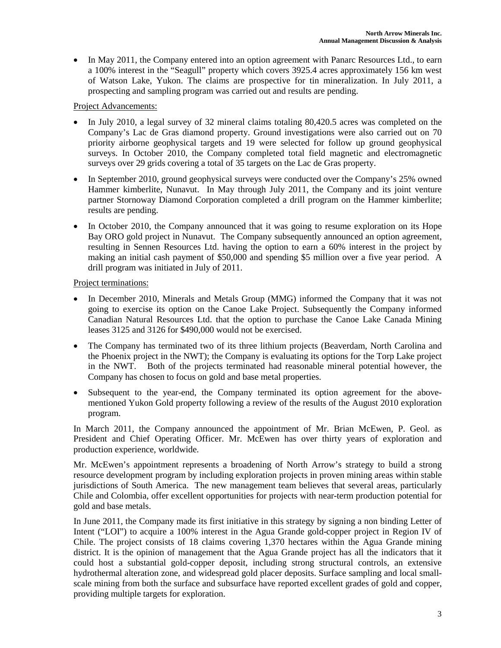In May 2011, the Company entered into an option agreement with Panarc Resources Ltd., to earn a 100% interest in the "Seagull" property which covers 3925.4 acres approximately 156 km west of Watson Lake, Yukon. The claims are prospective for tin mineralization. In July 2011, a prospecting and sampling program was carried out and results are pending.

Project Advancements:

- In July 2010, a legal survey of 32 mineral claims totaling 80,420.5 acres was completed on the Company's Lac de Gras diamond property. Ground investigations were also carried out on 70 priority airborne geophysical targets and 19 were selected for follow up ground geophysical surveys. In October 2010, the Company completed total field magnetic and electromagnetic surveys over 29 grids covering a total of 35 targets on the Lac de Gras property.
- In September 2010, ground geophysical surveys were conducted over the Company's 25% owned Hammer kimberlite, Nunavut. In May through July 2011, the Company and its joint venture partner Stornoway Diamond Corporation completed a drill program on the Hammer kimberlite; results are pending.
- In October 2010, the Company announced that it was going to resume exploration on its Hope Bay ORO gold project in Nunavut. The Company subsequently announced an option agreement, resulting in Sennen Resources Ltd. having the option to earn a 60% interest in the project by making an initial cash payment of \$50,000 and spending \$5 million over a five year period. A drill program was initiated in July of 2011.

Project terminations:

- In December 2010, Minerals and Metals Group (MMG) informed the Company that it was not going to exercise its option on the Canoe Lake Project. Subsequently the Company informed Canadian Natural Resources Ltd. that the option to purchase the Canoe Lake Canada Mining leases 3125 and 3126 for \$490,000 would not be exercised.
- The Company has terminated two of its three lithium projects (Beaverdam, North Carolina and the Phoenix project in the NWT); the Company is evaluating its options for the Torp Lake project in the NWT. Both of the projects terminated had reasonable mineral potential however, the Company has chosen to focus on gold and base metal properties.
- Subsequent to the year-end, the Company terminated its option agreement for the abovementioned Yukon Gold property following a review of the results of the August 2010 exploration program.

In March 2011, the Company announced the appointment of Mr. Brian McEwen, P. Geol. as President and Chief Operating Officer. Mr. McEwen has over thirty years of exploration and production experience, worldwide.

Mr. McEwen's appointment represents a broadening of North Arrow's strategy to build a strong resource development program by including exploration projects in proven mining areas within stable jurisdictions of South America. The new management team believes that several areas, particularly Chile and Colombia, offer excellent opportunities for projects with near-term production potential for gold and base metals.

In June 2011, the Company made its first initiative in this strategy by signing a non binding Letter of Intent ("LOI") to acquire a 100% interest in the Agua Grande gold-copper project in Region IV of Chile. The project consists of 18 claims covering 1,370 hectares within the Agua Grande mining district. It is the opinion of management that the Agua Grande project has all the indicators that it could host a substantial gold-copper deposit, including strong structural controls, an extensive hydrothermal alteration zone, and widespread gold placer deposits. Surface sampling and local smallscale mining from both the surface and subsurface have reported excellent grades of gold and copper, providing multiple targets for exploration.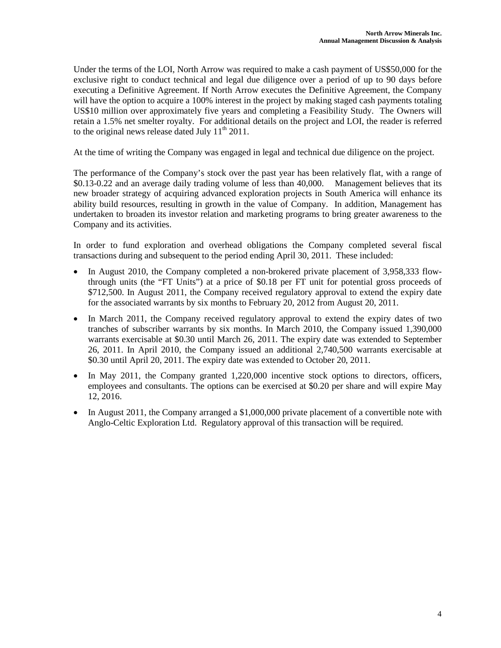Under the terms of the LOI, North Arrow was required to make a cash payment of US\$50,000 for the exclusive right to conduct technical and legal due diligence over a period of up to 90 days before executing a Definitive Agreement. If North Arrow executes the Definitive Agreement, the Company will have the option to acquire a 100% interest in the project by making staged cash payments totaling US\$10 million over approximately five years and completing a Feasibility Study. The Owners will retain a 1.5% net smelter royalty. For additional details on the project and LOI, the reader is referred to the original news release dated July  $11<sup>th</sup> 2011$ .

At the time of writing the Company was engaged in legal and technical due diligence on the project.

The performance of the Company's stock over the past year has been relatively flat, with a range of \$0.13-0.22 and an average daily trading volume of less than 40,000. Management believes that its new broader strategy of acquiring advanced exploration projects in South America will enhance its ability build resources, resulting in growth in the value of Company. In addition, Management has undertaken to broaden its investor relation and marketing programs to bring greater awareness to the Company and its activities.

In order to fund exploration and overhead obligations the Company completed several fiscal transactions during and subsequent to the period ending April 30, 2011. These included:

- In August 2010, the Company completed a non-brokered private placement of 3,958,333 flowthrough units (the "FT Units") at a price of \$0.18 per FT unit for potential gross proceeds of \$712,500. In August 2011, the Company received regulatory approval to extend the expiry date for the associated warrants by six months to February 20, 2012 from August 20, 2011.
- In March 2011, the Company received regulatory approval to extend the expiry dates of two tranches of subscriber warrants by six months. In March 2010, the Company issued 1,390,000 warrants exercisable at \$0.30 until March 26, 2011. The expiry date was extended to September 26, 2011. In April 2010, the Company issued an additional 2,740,500 warrants exercisable at \$0.30 until April 20, 2011. The expiry date was extended to October 20, 2011.
- In May 2011, the Company granted 1,220,000 incentive stock options to directors, officers, employees and consultants. The options can be exercised at \$0.20 per share and will expire May 12, 2016.
- In August 2011, the Company arranged a \$1,000,000 private placement of a convertible note with Anglo-Celtic Exploration Ltd. Regulatory approval of this transaction will be required.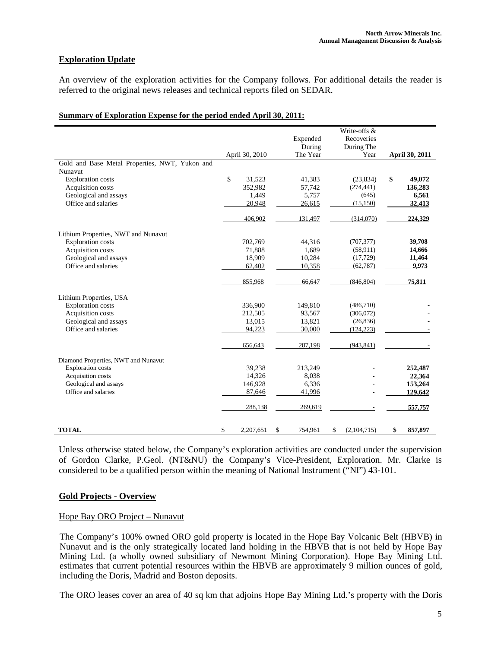## **Exploration Update**

An overview of the exploration activities for the Company follows. For additional details the reader is referred to the original news releases and technical reports filed on SEDAR.

|                                                |                 |               | Write-offs &      |                       |
|------------------------------------------------|-----------------|---------------|-------------------|-----------------------|
|                                                |                 | Expended      | Recoveries        |                       |
|                                                |                 | During        | During The        |                       |
|                                                | April 30, 2010  | The Year      | Year              | <b>April 30, 2011</b> |
| Gold and Base Metal Properties, NWT, Yukon and |                 |               |                   |                       |
| Nunavut                                        |                 |               |                   |                       |
| <b>Exploration</b> costs                       | \$<br>31,523    | 41,383        | (23, 834)         | \$<br>49,072          |
| Acquisition costs                              | 352,982         | 57,742        | (274, 441)        | 136,283               |
| Geological and assays                          | 1,449           | 5,757         | (645)             | 6,561                 |
| Office and salaries                            | 20,948          | 26,615        | (15, 150)         | 32,413                |
|                                                | 406,902         | 131,497       | (314,070)         | 224,329               |
| Lithium Properties, NWT and Nunavut            |                 |               |                   |                       |
| <b>Exploration</b> costs                       | 702,769         | 44,316        | (707, 377)        | 39,708                |
| Acquisition costs                              | 71,888          | 1,689         | (58, 911)         | 14,666                |
| Geological and assays                          | 18,909          | 10,284        | (17, 729)         | 11,464                |
| Office and salaries                            | 62,402          | 10,358        | (62, 787)         | 9,973                 |
|                                                | 855,968         | 66,647        | (846, 804)        | 75,811                |
| Lithium Properties, USA                        |                 |               |                   |                       |
| <b>Exploration</b> costs                       | 336,900         | 149,810       | (486, 710)        |                       |
| Acquisition costs                              | 212,505         | 93,567        | (306,072)         |                       |
| Geological and assays                          | 13,015          | 13,821        | (26, 836)         |                       |
| Office and salaries                            | 94,223          | 30,000        | (124, 223)        |                       |
|                                                |                 |               |                   |                       |
|                                                | 656,643         | 287,198       | (943, 841)        |                       |
| Diamond Properties, NWT and Nunavut            |                 |               |                   |                       |
| <b>Exploration</b> costs                       | 39,238          | 213,249       |                   | 252,487               |
| Acquisition costs                              | 14,326          | 8,038         |                   | 22,364                |
| Geological and assays                          | 146,928         | 6,336         |                   | 153,264               |
| Office and salaries                            | 87,646          | 41,996        |                   | 129,642               |
|                                                | 288,138         | 269,619       |                   | 557,757               |
| <b>TOTAL</b>                                   | \$<br>2.207.651 | \$<br>754.961 | \$<br>(2,104,715) | \$<br>857.897         |

#### **Summary of Exploration Expense for the period ended April 30, 2011:**

Unless otherwise stated below, the Company's exploration activities are conducted under the supervision of Gordon Clarke, P.Geol. (NT&NU) the Company's Vice-President, Exploration. Mr. Clarke is considered to be a qualified person within the meaning of National Instrument ("NI") 43-101.

### **Gold Projects - Overview**

### Hope Bay ORO Project – Nunavut

The Company's 100% owned ORO gold property is located in the Hope Bay Volcanic Belt (HBVB) in Nunavut and is the only strategically located land holding in the HBVB that is not held by Hope Bay Mining Ltd. (a wholly owned subsidiary of Newmont Mining Corporation). Hope Bay Mining Ltd. estimates that current potential resources within the HBVB are approximately 9 million ounces of gold, including the Doris, Madrid and Boston deposits.

The ORO leases cover an area of 40 sq km that adjoins Hope Bay Mining Ltd.'s property with the Doris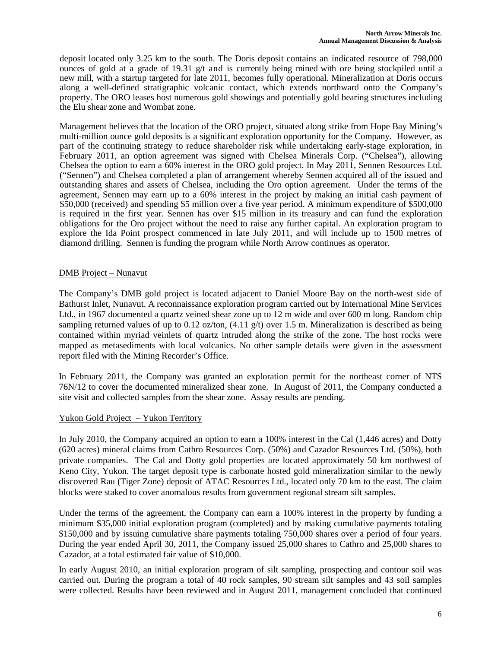deposit located only 3.25 km to the south. The Doris deposit contains an indicated resource of 798,000 ounces of gold at a grade of 19.31 g/t and is currently being mined with ore being stockpiled until a new mill, with a startup targeted for late 2011, becomes fully operational. Mineralization at Doris occurs along a well-defined stratigraphic volcanic contact, which extends northward onto the Company's property. The ORO leases host numerous gold showings and potentially gold bearing structures including the Elu shear zone and Wombat zone.

Management believes that the location of the ORO project, situated along strike from Hope Bay Mining's multi-million ounce gold deposits is a significant exploration opportunity for the Company. However, as part of the continuing strategy to reduce shareholder risk while undertaking early-stage exploration, in February 2011, an option agreement was signed with Chelsea Minerals Corp. ("Chelsea"), allowing Chelsea the option to earn a 60% interest in the ORO gold project. In May 2011, Sennen Resources Ltd. ("Sennen") and Chelsea completed a plan of arrangement whereby Sennen acquired all of the issued and outstanding shares and assets of Chelsea, including the Oro option agreement. Under the terms of the agreement, Sennen may earn up to a 60% interest in the project by making an initial cash payment of \$50,000 (received) and spending \$5 million over a five year period. A minimum expenditure of \$500,000 is required in the first year. Sennen has over \$15 million in its treasury and can fund the exploration obligations for the Oro project without the need to raise any further capital. An exploration program to explore the Ida Point prospect commenced in late July 2011, and will include up to 1500 metres of diamond drilling. Sennen is funding the program while North Arrow continues as operator.

## DMB Project – Nunavut

The Company's DMB gold project is located adjacent to Daniel Moore Bay on the north-west side of Bathurst Inlet, Nunavut. A reconnaissance exploration program carried out by International Mine Services Ltd., in 1967 documented a quartz veined shear zone up to 12 m wide and over 600 m long. Random chip sampling returned values of up to 0.12 oz/ton,  $(4.11 \text{ g/t})$  over 1.5 m. Mineralization is described as being contained within myriad veinlets of quartz intruded along the strike of the zone. The host rocks were mapped as metasediments with local volcanics. No other sample details were given in the assessment report filed with the Mining Recorder's Office.

In February 2011, the Company was granted an exploration permit for the northeast corner of NTS 76N/12 to cover the documented mineralized shear zone. In August of 2011, the Company conducted a site visit and collected samples from the shear zone. Assay results are pending.

## Yukon Gold Project – Yukon Territory

In July 2010, the Company acquired an option to earn a 100% interest in the Cal (1,446 acres) and Dotty (620 acres) mineral claims from Cathro Resources Corp. (50%) and Cazador Resources Ltd. (50%), both private companies. The Cal and Dotty gold properties are located approximately 50 km northwest of Keno City, Yukon. The target deposit type is carbonate hosted gold mineralization similar to the newly discovered Rau (Tiger Zone) deposit of ATAC Resources Ltd., located only 70 km to the east. The claim blocks were staked to cover anomalous results from government regional stream silt samples.

Under the terms of the agreement, the Company can earn a 100% interest in the property by funding a minimum \$35,000 initial exploration program (completed) and by making cumulative payments totaling \$150,000 and by issuing cumulative share payments totaling 750,000 shares over a period of four years. During the year ended April 30, 2011, the Company issued 25,000 shares to Cathro and 25,000 shares to Cazador, at a total estimated fair value of \$10,000.

In early August 2010, an initial exploration program of silt sampling, prospecting and contour soil was carried out. During the program a total of 40 rock samples, 90 stream silt samples and 43 soil samples were collected. Results have been reviewed and in August 2011, management concluded that continued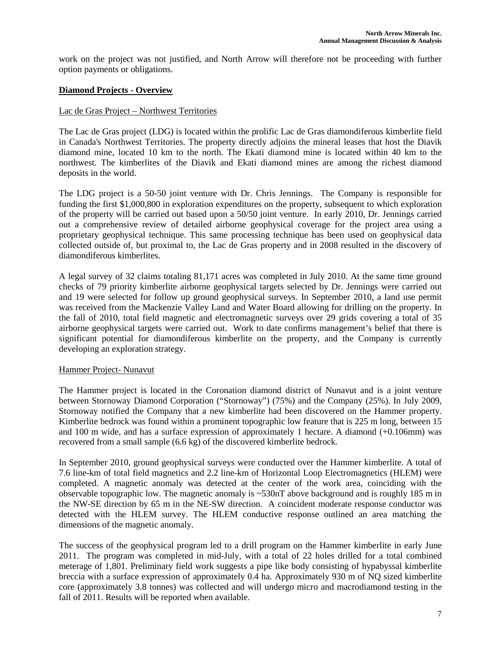work on the project was not justified, and North Arrow will therefore not be proceeding with further option payments or obligations.

## **Diamond Projects - Overview**

### Lac de Gras Project – Northwest Territories

The Lac de Gras project (LDG) is located within the prolific Lac de Gras diamondiferous kimberlite field in Canada's Northwest Territories. The property directly adjoins the mineral leases that host the Diavik diamond mine, located 10 km to the north. The Ekati diamond mine is located within 40 km to the northwest. The kimberlites of the Diavik and Ekati diamond mines are among the richest diamond deposits in the world.

The LDG project is a 50-50 joint venture with Dr. Chris Jennings. The Company is responsible for funding the first \$1,000,800 in exploration expenditures on the property, subsequent to which exploration of the property will be carried out based upon a 50/50 joint venture. In early 2010, Dr. Jennings carried out a comprehensive review of detailed airborne geophysical coverage for the project area using a proprietary geophysical technique. This same processing technique has been used on geophysical data collected outside of, but proximal to, the Lac de Gras property and in 2008 resulted in the discovery of diamondiferous kimberlites.

A legal survey of 32 claims totaling 81,171 acres was completed in July 2010. At the same time ground checks of 79 priority kimberlite airborne geophysical targets selected by Dr. Jennings were carried out and 19 were selected for follow up ground geophysical surveys. In September 2010, a land use permit was received from the Mackenzie Valley Land and Water Board allowing for drilling on the property. In the fall of 2010, total field magnetic and electromagnetic surveys over 29 grids covering a total of 35 airborne geophysical targets were carried out. Work to date confirms management's belief that there is significant potential for diamondiferous kimberlite on the property, and the Company is currently developing an exploration strategy.

### Hammer Project- Nunavut

The Hammer project is located in the Coronation diamond district of Nunavut and is a joint venture between Stornoway Diamond Corporation ("Stornoway") (75%) and the Company (25%). In July 2009, Stornoway notified the Company that a new kimberlite had been discovered on the Hammer property. Kimberlite bedrock was found within a prominent topographic low feature that is 225 m long, between 15 and 100 m wide, and has a surface expression of approximately 1 hectare. A diamond (+0.106mm) was recovered from a small sample (6.6 kg) of the discovered kimberlite bedrock.

In September 2010, ground geophysical surveys were conducted over the Hammer kimberlite. A total of 7.6 line-km of total field magnetics and 2.2 line-km of Horizontal Loop Electromagnetics (HLEM) were completed. A magnetic anomaly was detected at the center of the work area, coinciding with the observable topographic low. The magnetic anomaly is ~530nT above background and is roughly 185 m in the NW-SE direction by 65 m in the NE-SW direction. A coincident moderate response conductor was detected with the HLEM survey. The HLEM conductive response outlined an area matching the dimensions of the magnetic anomaly.

The success of the geophysical program led to a drill program on the Hammer kimberlite in early June 2011. The program was completed in mid-July, with a total of 22 holes drilled for a total combined meterage of 1,801. Preliminary field work suggests a pipe like body consisting of hypabyssal kimberlite breccia with a surface expression of approximately 0.4 ha. Approximately 930 m of NQ sized kimberlite core (approximately 3.8 tonnes) was collected and will undergo micro and macrodiamond testing in the fall of 2011. Results will be reported when available.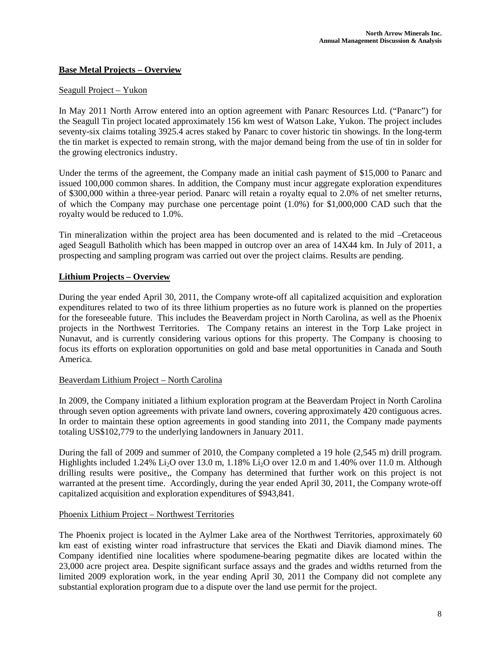## **Base Metal Projects – Overview**

### Seagull Project – Yukon

In May 2011 North Arrow entered into an option agreement with Panarc Resources Ltd. ("Panarc") for the Seagull Tin project located approximately 156 km west of Watson Lake, Yukon. The project includes seventy-six claims totaling 3925.4 acres staked by Panarc to cover historic tin showings. In the long-term the tin market is expected to remain strong, with the major demand being from the use of tin in solder for the growing electronics industry.

Under the terms of the agreement, the Company made an initial cash payment of \$15,000 to Panarc and issued 100,000 common shares. In addition, the Company must incur aggregate exploration expenditures of \$300,000 within a three-year period. Panarc will retain a royalty equal to 2.0% of net smelter returns, of which the Company may purchase one percentage point (1.0%) for \$1,000,000 CAD such that the royalty would be reduced to 1.0%.

Tin mineralization within the project area has been documented and is related to the mid –Cretaceous aged Seagull Batholith which has been mapped in outcrop over an area of 14X44 km. In July of 2011, a prospecting and sampling program was carried out over the project claims. Results are pending.

### **Lithium Projects – Overview**

During the year ended April 30, 2011, the Company wrote-off all capitalized acquisition and exploration expenditures related to two of its three lithium properties as no future work is planned on the properties for the foreseeable future. This includes the Beaverdam project in North Carolina, as well as the Phoenix projects in the Northwest Territories. The Company retains an interest in the Torp Lake project in Nunavut, and is currently considering various options for this property. The Company is choosing to focus its efforts on exploration opportunities on gold and base metal opportunities in Canada and South America.

### Beaverdam Lithium Project – North Carolina

In 2009, the Company initiated a lithium exploration program at the Beaverdam Project in North Carolina through seven option agreements with private land owners, covering approximately 420 contiguous acres. In order to maintain these option agreements in good standing into 2011, the Company made payments totaling US\$102,779 to the underlying landowners in January 2011.

During the fall of 2009 and summer of 2010, the Company completed a 19 hole (2,545 m) drill program. Highlights included 1.24% Li<sub>2</sub>O over 13.0 m, 1.18% Li<sub>2</sub>O over 12.0 m and 1.40% over 11.0 m. Although drilling results were positive,, the Company has determined that further work on this project is not warranted at the present time. Accordingly, during the year ended April 30, 2011, the Company wrote-off capitalized acquisition and exploration expenditures of \$943,841.

### Phoenix Lithium Project – Northwest Territories

The Phoenix project is located in the Aylmer Lake area of the Northwest Territories, approximately 60 km east of existing winter road infrastructure that services the Ekati and Diavik diamond mines. The Company identified nine localities where spodumene-bearing pegmatite dikes are located within the 23,000 acre project area. Despite significant surface assays and the grades and widths returned from the limited 2009 exploration work, in the year ending April 30, 2011 the Company did not complete any substantial exploration program due to a dispute over the land use permit for the project.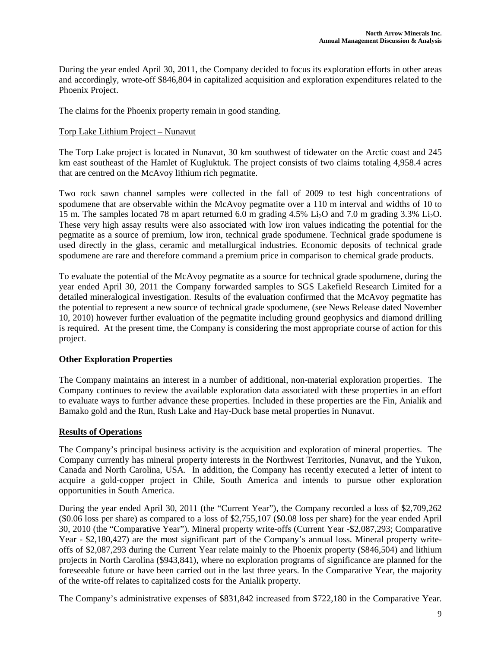During the year ended April 30, 2011, the Company decided to focus its exploration efforts in other areas and accordingly, wrote-off \$846,804 in capitalized acquisition and exploration expenditures related to the Phoenix Project.

The claims for the Phoenix property remain in good standing.

### Torp Lake Lithium Project – Nunavut

The Torp Lake project is located in Nunavut, 30 km southwest of tidewater on the Arctic coast and 245 km east southeast of the Hamlet of Kugluktuk. The project consists of two claims totaling 4,958.4 acres that are centred on the McAvoy lithium rich pegmatite.

Two rock sawn channel samples were collected in the fall of 2009 to test high concentrations of spodumene that are observable within the McAvoy pegmatite over a 110 m interval and widths of 10 to 15 m. The samples located 78 m apart returned 6.0 m grading 4.5% Li<sub>2</sub>O and 7.0 m grading 3.3% L<sub>i2</sub>O. These very high assay results were also associated with low iron values indicating the potential for the pegmatite as a source of premium, low iron, technical grade spodumene. Technical grade spodumene is used directly in the glass, ceramic and metallurgical industries. Economic deposits of technical grade spodumene are rare and therefore command a premium price in comparison to chemical grade products.

To evaluate the potential of the McAvoy pegmatite as a source for technical grade spodumene, during the year ended April 30, 2011 the Company forwarded samples to SGS Lakefield Research Limited for a detailed mineralogical investigation. Results of the evaluation confirmed that the McAvoy pegmatite has the potential to represent a new source of technical grade spodumene, (see News Release dated November 10, 2010) however further evaluation of the pegmatite including ground geophysics and diamond drilling is required. At the present time, the Company is considering the most appropriate course of action for this project.

### **Other Exploration Properties**

The Company maintains an interest in a number of additional, non-material exploration properties. The Company continues to review the available exploration data associated with these properties in an effort to evaluate ways to further advance these properties. Included in these properties are the Fin, Anialik and Bamako gold and the Run, Rush Lake and Hay-Duck base metal properties in Nunavut.

## **Results of Operations**

The Company's principal business activity is the acquisition and exploration of mineral properties. The Company currently has mineral property interests in the Northwest Territories, Nunavut, and the Yukon, Canada and North Carolina, USA. In addition, the Company has recently executed a letter of intent to acquire a gold-copper project in Chile, South America and intends to pursue other exploration opportunities in South America.

During the year ended April 30, 2011 (the "Current Year"), the Company recorded a loss of \$2,709,262 (\$0.06 loss per share) as compared to a loss of \$2,755,107 (\$0.08 loss per share) for the year ended April 30, 2010 (the "Comparative Year"). Mineral property write-offs (Current Year -\$2,087,293; Comparative Year - \$2,180,427) are the most significant part of the Company's annual loss. Mineral property writeoffs of \$2,087,293 during the Current Year relate mainly to the Phoenix property (\$846,504) and lithium projects in North Carolina (\$943,841), where no exploration programs of significance are planned for the foreseeable future or have been carried out in the last three years. In the Comparative Year, the majority of the write-off relates to capitalized costs for the Anialik property.

The Company's administrative expenses of \$831,842 increased from \$722,180 in the Comparative Year.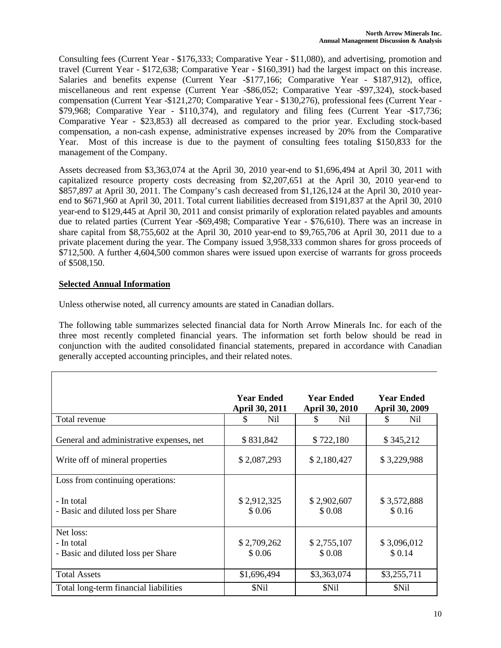Consulting fees (Current Year - \$176,333; Comparative Year - \$11,080), and advertising, promotion and travel (Current Year - \$172,638; Comparative Year - \$160,391) had the largest impact on this increase. Salaries and benefits expense (Current Year -\$177,166; Comparative Year - \$187,912), office, miscellaneous and rent expense (Current Year -\$86,052; Comparative Year -\$97,324), stock-based compensation (Current Year -\$121,270; Comparative Year - \$130,276), professional fees (Current Year - \$79,968; Comparative Year - \$110,374), and regulatory and filing fees (Current Year -\$17,736; Comparative Year - \$23,853) all decreased as compared to the prior year. Excluding stock-based compensation, a non-cash expense, administrative expenses increased by 20% from the Comparative Year. Most of this increase is due to the payment of consulting fees totaling \$150,833 for the management of the Company.

Assets decreased from \$3,363,074 at the April 30, 2010 year-end to \$1,696,494 at April 30, 2011 with capitalized resource property costs decreasing from \$2,207,651 at the April 30, 2010 year-end to \$857,897 at April 30, 2011. The Company's cash decreased from \$1,126,124 at the April 30, 2010 yearend to \$671,960 at April 30, 2011. Total current liabilities decreased from \$191,837 at the April 30, 2010 year-end to \$129,445 at April 30, 2011 and consist primarily of exploration related payables and amounts due to related parties (Current Year -\$69,498; Comparative Year - \$76,610). There was an increase in share capital from \$8,755,602 at the April 30, 2010 year-end to \$9,765,706 at April 30, 2011 due to a private placement during the year. The Company issued 3,958,333 common shares for gross proceeds of \$712,500. A further 4,604,500 common shares were issued upon exercise of warrants for gross proceeds of \$508,150.

# **Selected Annual Information**

Unless otherwise noted, all currency amounts are stated in Canadian dollars.

The following table summarizes selected financial data for North Arrow Minerals Inc. for each of the three most recently completed financial years. The information set forth below should be read in conjunction with the audited consolidated financial statements, prepared in accordance with Canadian generally accepted accounting principles, and their related notes.

|                                                               | <b>Year Ended</b><br>April 30, 2011 | <b>Year Ended</b><br><b>April 30, 2010</b> | <b>Year Ended</b><br>April 30, 2009 |
|---------------------------------------------------------------|-------------------------------------|--------------------------------------------|-------------------------------------|
| Total revenue                                                 | Nil<br>S                            | Nil                                        | Nil<br>S                            |
| General and administrative expenses, net                      | \$831,842                           | \$722,180                                  | \$345,212                           |
| Write off of mineral properties                               | \$2,087,293                         | \$2,180,427                                | \$3,229,988                         |
| Loss from continuing operations:                              |                                     |                                            |                                     |
| - In total<br>- Basic and diluted loss per Share              | \$2,912,325<br>\$0.06               | \$2,902,607<br>\$0.08                      | \$3,572,888<br>\$0.16               |
| Net loss:<br>- In total<br>- Basic and diluted loss per Share | \$2,709,262<br>\$0.06               | \$2,755,107<br>\$0.08                      | \$3,096,012<br>\$0.14               |
| <b>Total Assets</b>                                           | \$1,696,494                         | \$3,363,074                                | \$3,255,711                         |
| Total long-term financial liabilities                         | \$Nil                               | \$Nil                                      | \$Nil                               |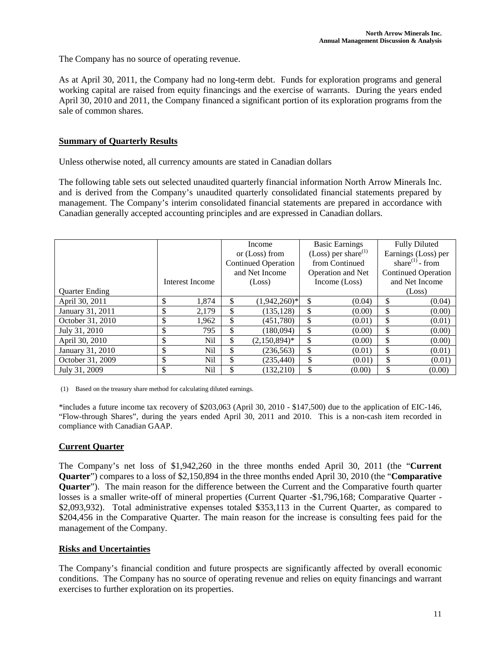The Company has no source of operating revenue.

As at April 30, 2011, the Company had no long-term debt. Funds for exploration programs and general working capital are raised from equity financings and the exercise of warrants. During the years ended April 30, 2010 and 2011, the Company financed a significant portion of its exploration programs from the sale of common shares.

## **Summary of Quarterly Results**

Unless otherwise noted, all currency amounts are stated in Canadian dollars

The following table sets out selected unaudited quarterly financial information North Arrow Minerals Inc. and is derived from the Company's unaudited quarterly consolidated financial statements prepared by management. The Company's interim consolidated financial statements are prepared in accordance with Canadian generally accepted accounting principles and are expressed in Canadian dollars.

|                       |                 |    | Income                     | <b>Basic Earnings</b>           | <b>Fully Diluted</b>        |
|-----------------------|-----------------|----|----------------------------|---------------------------------|-----------------------------|
|                       |                 |    | or (Loss) from             | (Loss) per share <sup>(1)</sup> | Earnings (Loss) per         |
|                       |                 |    | <b>Continued Operation</b> | from Continued                  | share <sup>(1)</sup> - from |
|                       |                 |    | and Net Income             | <b>Operation and Net</b>        | <b>Continued Operation</b>  |
|                       | Interest Income |    | (Loss)                     | Income (Loss)                   | and Net Income              |
| <b>Ouarter Ending</b> |                 |    |                            |                                 | (Loss)                      |
| April 30, 2011        | \$<br>1.874     | \$ | $(1,942,260)*$             | \$<br>(0.04)                    | \$<br>(0.04)                |
| January 31, 2011      | \$<br>2,179     | J. | (135, 128)                 | \$<br>(0.00)                    | \$<br>(0.00)                |
| October 31, 2010      | \$<br>1,962     | Ъ  | (451,780)                  | \$<br>(0.01)                    | \$<br>(0.01)                |
| July 31, 2010         | \$<br>795       | J. | (180,094)                  | \$<br>(0.00)                    | \$<br>(0.00)                |
| April 30, 2010        | \$<br>Nil       | S  | $(2,150,894)^*$            | \$<br>(0.00)                    | \$<br>(0.00)                |
| January 31, 2010      | \$<br>Nil       | ъ. | (236, 563)                 | \$<br>(0.01)                    | \$<br>(0.01)                |
| October 31, 2009      | \$<br>Nil       | \$ | (235, 440)                 | \$<br>(0.01)                    | \$<br>(0.01)                |
| July 31, 2009         | \$<br>Nil       |    | (132.210)                  | \$<br>(0.00)                    | \$<br>(0.00)                |

(1) Based on the treasury share method for calculating diluted earnings.

\*includes a future income tax recovery of \$203,063 (April 30, 2010 - \$147,500) due to the application of EIC-146, "Flow-through Shares", during the years ended April 30, 2011 and 2010. This is a non-cash item recorded in compliance with Canadian GAAP.

### **Current Quarter**

The Company's net loss of \$1,942,260 in the three months ended April 30, 2011 (the "**Current Quarter**") compares to a loss of \$2,150,894 in the three months ended April 30, 2010 (the "**Comparative Quarter**"). The main reason for the difference between the Current and the Comparative fourth quarter losses is a smaller write-off of mineral properties (Current Quarter -\$1,796,168; Comparative Quarter -\$2,093,932). Total administrative expenses totaled \$353,113 in the Current Quarter, as compared to \$204,456 in the Comparative Quarter. The main reason for the increase is consulting fees paid for the management of the Company.

### **Risks and Uncertainties**

The Company's financial condition and future prospects are significantly affected by overall economic conditions. The Company has no source of operating revenue and relies on equity financings and warrant exercises to further exploration on its properties.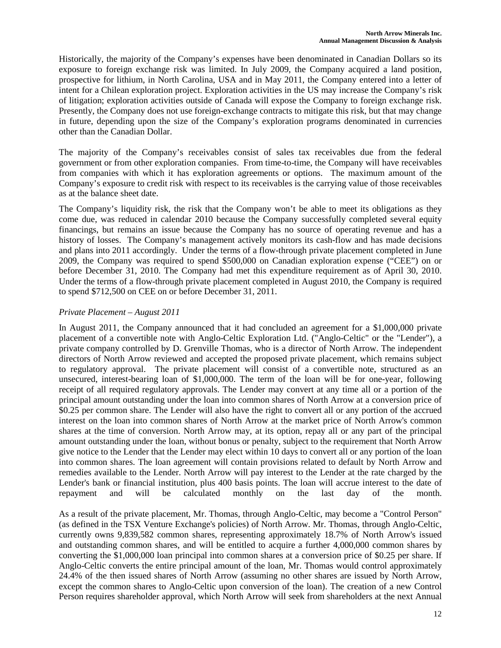Historically, the majority of the Company's expenses have been denominated in Canadian Dollars so its exposure to foreign exchange risk was limited. In July 2009, the Company acquired a land position, prospective for lithium, in North Carolina, USA and in May 2011, the Company entered into a letter of intent for a Chilean exploration project. Exploration activities in the US may increase the Company's risk of litigation; exploration activities outside of Canada will expose the Company to foreign exchange risk. Presently, the Company does not use foreign-exchange contracts to mitigate this risk, but that may change in future, depending upon the size of the Company's exploration programs denominated in currencies other than the Canadian Dollar.

The majority of the Company's receivables consist of sales tax receivables due from the federal government or from other exploration companies. From time-to-time, the Company will have receivables from companies with which it has exploration agreements or options. The maximum amount of the Company's exposure to credit risk with respect to its receivables is the carrying value of those receivables as at the balance sheet date.

The Company's liquidity risk, the risk that the Company won't be able to meet its obligations as they come due, was reduced in calendar 2010 because the Company successfully completed several equity financings, but remains an issue because the Company has no source of operating revenue and has a history of losses. The Company's management actively monitors its cash-flow and has made decisions and plans into 2011 accordingly. Under the terms of a flow-through private placement completed in June 2009, the Company was required to spend \$500,000 on Canadian exploration expense ("CEE") on or before December 31, 2010. The Company had met this expenditure requirement as of April 30, 2010. Under the terms of a flow-through private placement completed in August 2010, the Company is required to spend \$712,500 on CEE on or before December 31, 2011.

# *Private Placement – August 2011*

In August 2011, the Company announced that it had concluded an agreement for a \$1,000,000 private placement of a convertible note with Anglo-Celtic Exploration Ltd. ("Anglo-Celtic" or the "Lender"), a private company controlled by D. Grenville Thomas, who is a director of North Arrow. The independent directors of North Arrow reviewed and accepted the proposed private placement, which remains subject to regulatory approval. The private placement will consist of a convertible note, structured as an unsecured, interest-bearing loan of \$1,000,000. The term of the loan will be for one-year, following receipt of all required regulatory approvals. The Lender may convert at any time all or a portion of the principal amount outstanding under the loan into common shares of North Arrow at a conversion price of \$0.25 per common share. The Lender will also have the right to convert all or any portion of the accrued interest on the loan into common shares of North Arrow at the market price of North Arrow's common shares at the time of conversion. North Arrow may, at its option, repay all or any part of the principal amount outstanding under the loan, without bonus or penalty, subject to the requirement that North Arrow give notice to the Lender that the Lender may elect within 10 days to convert all or any portion of the loan into common shares. The loan agreement will contain provisions related to default by North Arrow and remedies available to the Lender. North Arrow will pay interest to the Lender at the rate charged by the Lender's bank or financial institution, plus 400 basis points. The loan will accrue interest to the date of repayment and will be calculated monthly on the last day of the month.

As a result of the private placement, Mr. Thomas, through Anglo-Celtic, may become a "Control Person" (as defined in the TSX Venture Exchange's policies) of North Arrow. Mr. Thomas, through Anglo-Celtic, currently owns 9,839,582 common shares, representing approximately 18.7% of North Arrow's issued and outstanding common shares, and will be entitled to acquire a further 4,000,000 common shares by converting the \$1,000,000 loan principal into common shares at a conversion price of \$0.25 per share. If Anglo-Celtic converts the entire principal amount of the loan, Mr. Thomas would control approximately 24.4% of the then issued shares of North Arrow (assuming no other shares are issued by North Arrow, except the common shares to Anglo-Celtic upon conversion of the loan). The creation of a new Control Person requires shareholder approval, which North Arrow will seek from shareholders at the next Annual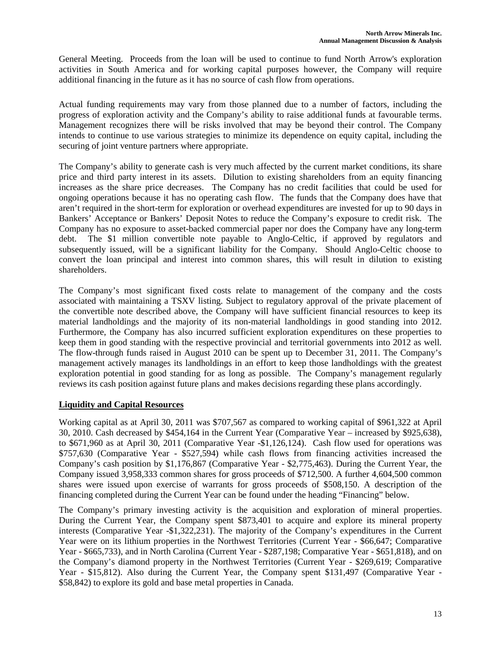General Meeting. Proceeds from the loan will be used to continue to fund North Arrow's exploration activities in South America and for working capital purposes however, the Company will require additional financing in the future as it has no source of cash flow from operations.

Actual funding requirements may vary from those planned due to a number of factors, including the progress of exploration activity and the Company's ability to raise additional funds at favourable terms. Management recognizes there will be risks involved that may be beyond their control. The Company intends to continue to use various strategies to minimize its dependence on equity capital, including the securing of joint venture partners where appropriate.

The Company's ability to generate cash is very much affected by the current market conditions, its share price and third party interest in its assets. Dilution to existing shareholders from an equity financing increases as the share price decreases. The Company has no credit facilities that could be used for ongoing operations because it has no operating cash flow. The funds that the Company does have that aren't required in the short-term for exploration or overhead expenditures are invested for up to 90 days in Bankers' Acceptance or Bankers' Deposit Notes to reduce the Company's exposure to credit risk. The Company has no exposure to asset-backed commercial paper nor does the Company have any long-term debt. The \$1 million convertible note payable to Anglo-Celtic, if approved by regulators and subsequently issued, will be a significant liability for the Company. Should Anglo-Celtic choose to convert the loan principal and interest into common shares, this will result in dilution to existing shareholders.

The Company's most significant fixed costs relate to management of the company and the costs associated with maintaining a TSXV listing. Subject to regulatory approval of the private placement of the convertible note described above, the Company will have sufficient financial resources to keep its material landholdings and the majority of its non-material landholdings in good standing into 2012. Furthermore, the Company has also incurred sufficient exploration expenditures on these properties to keep them in good standing with the respective provincial and territorial governments into 2012 as well. The flow-through funds raised in August 2010 can be spent up to December 31, 2011. The Company's management actively manages its landholdings in an effort to keep those landholdings with the greatest exploration potential in good standing for as long as possible. The Company's management regularly reviews its cash position against future plans and makes decisions regarding these plans accordingly.

## **Liquidity and Capital Resources**

Working capital as at April 30, 2011 was \$707,567 as compared to working capital of \$961,322 at April 30, 2010. Cash decreased by \$454,164 in the Current Year (Comparative Year – increased by \$925,638), to \$671,960 as at April 30, 2011 (Comparative Year -\$1,126,124). Cash flow used for operations was \$757,630 (Comparative Year - \$527,594) while cash flows from financing activities increased the Company's cash position by \$1,176,867 (Comparative Year - \$2,775,463). During the Current Year, the Company issued 3,958,333 common shares for gross proceeds of \$712,500. A further 4,604,500 common shares were issued upon exercise of warrants for gross proceeds of \$508,150. A description of the financing completed during the Current Year can be found under the heading "Financing" below.

The Company's primary investing activity is the acquisition and exploration of mineral properties. During the Current Year, the Company spent \$873,401 to acquire and explore its mineral property interests (Comparative Year -\$1,322,231). The majority of the Company's expenditures in the Current Year were on its lithium properties in the Northwest Territories (Current Year - \$66,647; Comparative Year - \$665,733), and in North Carolina (Current Year - \$287,198; Comparative Year - \$651,818), and on the Company's diamond property in the Northwest Territories (Current Year - \$269,619; Comparative Year - \$15,812). Also during the Current Year, the Company spent \$131,497 (Comparative Year - \$58,842) to explore its gold and base metal properties in Canada.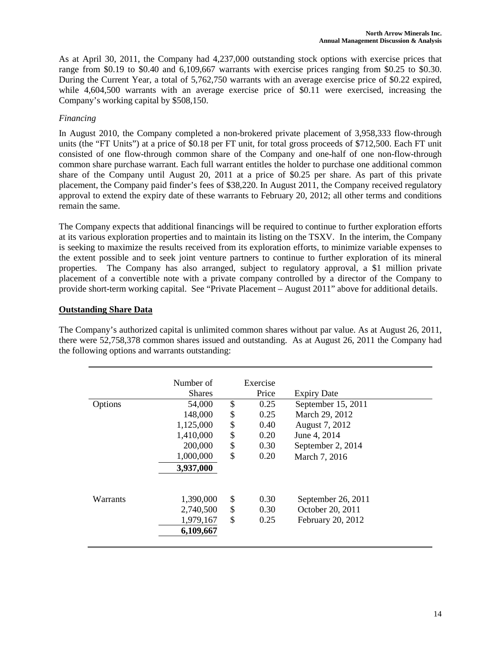As at April 30, 2011, the Company had 4,237,000 outstanding stock options with exercise prices that range from \$0.19 to \$0.40 and 6,109,667 warrants with exercise prices ranging from \$0.25 to \$0.30. During the Current Year, a total of 5,762,750 warrants with an average exercise price of \$0.22 expired, while 4,604,500 warrants with an average exercise price of \$0.11 were exercised, increasing the Company's working capital by \$508,150.

## *Financing*

In August 2010, the Company completed a non-brokered private placement of 3,958,333 flow-through units (the "FT Units") at a price of \$0.18 per FT unit, for total gross proceeds of \$712,500. Each FT unit consisted of one flow-through common share of the Company and one-half of one non-flow-through common share purchase warrant. Each full warrant entitles the holder to purchase one additional common share of the Company until August 20, 2011 at a price of \$0.25 per share. As part of this private placement, the Company paid finder's fees of \$38,220. In August 2011, the Company received regulatory approval to extend the expiry date of these warrants to February 20, 2012; all other terms and conditions remain the same.

The Company expects that additional financings will be required to continue to further exploration efforts at its various exploration properties and to maintain its listing on the TSXV. In the interim, the Company is seeking to maximize the results received from its exploration efforts, to minimize variable expenses to the extent possible and to seek joint venture partners to continue to further exploration of its mineral properties. The Company has also arranged, subject to regulatory approval, a \$1 million private placement of a convertible note with a private company controlled by a director of the Company to provide short-term working capital. See "Private Placement – August 2011" above for additional details.

## **Outstanding Share Data**

The Company's authorized capital is unlimited common shares without par value. As at August 26, 2011, there were 52,758,378 common shares issued and outstanding. As at August 26, 2011 the Company had the following options and warrants outstanding:

|          | Number of     | Exercise   |                    |
|----------|---------------|------------|--------------------|
|          | <b>Shares</b> | Price      | <b>Expiry Date</b> |
|          |               |            |                    |
| Options  | 54,000        | \$<br>0.25 | September 15, 2011 |
|          | 148,000       | \$<br>0.25 | March 29, 2012     |
|          | 1,125,000     | \$<br>0.40 | August 7, 2012     |
|          | 1,410,000     | \$<br>0.20 | June 4, 2014       |
|          | 200,000       | \$<br>0.30 | September 2, 2014  |
|          | 1,000,000     | \$<br>0.20 | March 7, 2016      |
|          | 3,937,000     |            |                    |
|          |               |            |                    |
| Warrants | 1,390,000     | \$<br>0.30 | September 26, 2011 |
|          | 2,740,500     | \$<br>0.30 | October 20, 2011   |
|          | 1,979,167     | \$<br>0.25 | February 20, 2012  |
|          | 6,109,667     |            |                    |
|          |               |            |                    |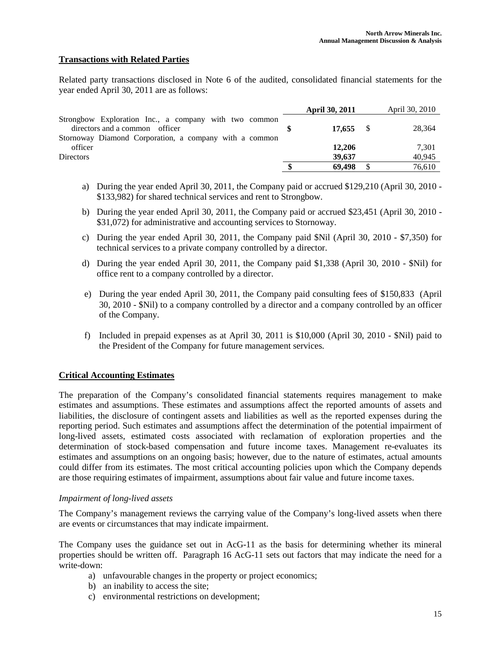## **Transactions with Related Parties**

Related party transactions disclosed in Note 6 of the audited, consolidated financial statements for the year ended April 30, 2011 are as follows:

|                                                                                         | <b>April 30, 2011</b> | April 30, 2010 |
|-----------------------------------------------------------------------------------------|-----------------------|----------------|
| Strongbow Exploration Inc., a company with two common<br>directors and a common officer | $17.655$ \$           | 28,364         |
| Stornoway Diamond Corporation, a company with a common<br>officer                       | 12,206                | 7,301          |
| <b>Directors</b>                                                                        | 39.637                | 40,945         |
|                                                                                         | 69.498                | 76,610         |

- a) During the year ended April 30, 2011, the Company paid or accrued \$129,210 (April 30, 2010 \$133,982) for shared technical services and rent to Strongbow.
- b) During the year ended April 30, 2011, the Company paid or accrued \$23,451 (April 30, 2010 \$31,072) for administrative and accounting services to Stornoway.
- c) During the year ended April 30, 2011, the Company paid \$Nil (April 30, 2010 \$7,350) for technical services to a private company controlled by a director.
- d) During the year ended April 30, 2011, the Company paid \$1,338 (April 30, 2010 \$Nil) for office rent to a company controlled by a director.
- e) During the year ended April 30, 2011, the Company paid consulting fees of \$150,833 (April 30, 2010 - \$Nil) to a company controlled by a director and a company controlled by an officer of the Company.
- f) Included in prepaid expenses as at April 30, 2011 is \$10,000 (April 30, 2010 \$Nil) paid to the President of the Company for future management services.

### **Critical Accounting Estimates**

The preparation of the Company's consolidated financial statements requires management to make estimates and assumptions. These estimates and assumptions affect the reported amounts of assets and liabilities, the disclosure of contingent assets and liabilities as well as the reported expenses during the reporting period. Such estimates and assumptions affect the determination of the potential impairment of long-lived assets, estimated costs associated with reclamation of exploration properties and the determination of stock-based compensation and future income taxes. Management re-evaluates its estimates and assumptions on an ongoing basis; however, due to the nature of estimates, actual amounts could differ from its estimates. The most critical accounting policies upon which the Company depends are those requiring estimates of impairment, assumptions about fair value and future income taxes.

#### *Impairment of long-lived assets*

The Company's management reviews the carrying value of the Company's long-lived assets when there are events or circumstances that may indicate impairment.

The Company uses the guidance set out in AcG-11 as the basis for determining whether its mineral properties should be written off. Paragraph 16 AcG-11 sets out factors that may indicate the need for a write-down:

- a) unfavourable changes in the property or project economics;
- b) an inability to access the site;
- c) environmental restrictions on development;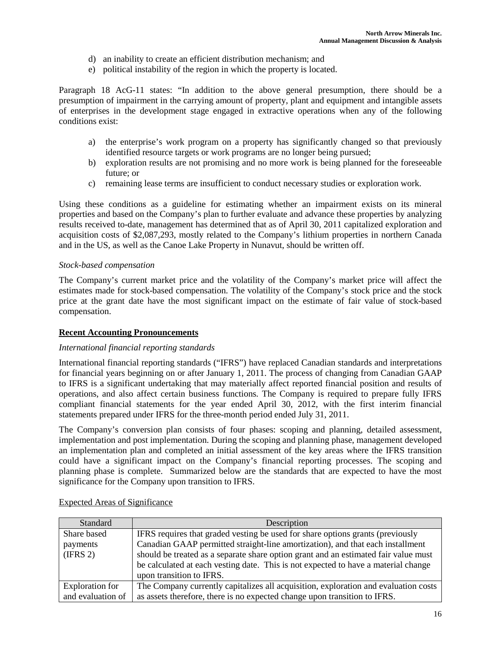- d) an inability to create an efficient distribution mechanism; and
- e) political instability of the region in which the property is located.

Paragraph 18 AcG-11 states: "In addition to the above general presumption, there should be a presumption of impairment in the carrying amount of property, plant and equipment and intangible assets of enterprises in the development stage engaged in extractive operations when any of the following conditions exist:

- a) the enterprise's work program on a property has significantly changed so that previously identified resource targets or work programs are no longer being pursued;
- b) exploration results are not promising and no more work is being planned for the foreseeable future; or
- c) remaining lease terms are insufficient to conduct necessary studies or exploration work.

Using these conditions as a guideline for estimating whether an impairment exists on its mineral properties and based on the Company's plan to further evaluate and advance these properties by analyzing results received to-date, management has determined that as of April 30, 2011 capitalized exploration and acquisition costs of \$2,087,293, mostly related to the Company's lithium properties in northern Canada and in the US, as well as the Canoe Lake Property in Nunavut, should be written off.

### *Stock-based compensation*

The Company's current market price and the volatility of the Company's market price will affect the estimates made for stock-based compensation. The volatility of the Company's stock price and the stock price at the grant date have the most significant impact on the estimate of fair value of stock-based compensation.

### **Recent Accounting Pronouncements**

### *International financial reporting standards*

International financial reporting standards ("IFRS") have replaced Canadian standards and interpretations for financial years beginning on or after January 1, 2011. The process of changing from Canadian GAAP to IFRS is a significant undertaking that may materially affect reported financial position and results of operations, and also affect certain business functions. The Company is required to prepare fully IFRS compliant financial statements for the year ended April 30, 2012, with the first interim financial statements prepared under IFRS for the three-month period ended July 31, 2011.

The Company's conversion plan consists of four phases: scoping and planning, detailed assessment, implementation and post implementation. During the scoping and planning phase, management developed an implementation plan and completed an initial assessment of the key areas where the IFRS transition could have a significant impact on the Company's financial reporting processes. The scoping and planning phase is complete. Summarized below are the standards that are expected to have the most significance for the Company upon transition to IFRS.

| Standard          | Description                                                                         |
|-------------------|-------------------------------------------------------------------------------------|
| Share based       | IFRS requires that graded vesting be used for share options grants (previously      |
| payments          | Canadian GAAP permitted straight-line amortization), and that each installment      |
| (IFRS 2)          | should be treated as a separate share option grant and an estimated fair value must |
|                   | be calculated at each vesting date. This is not expected to have a material change  |
|                   | upon transition to IFRS.                                                            |
| Exploration for   | The Company currently capitalizes all acquisition, exploration and evaluation costs |
| and evaluation of | as assets therefore, there is no expected change upon transition to IFRS.           |

### Expected Areas of Significance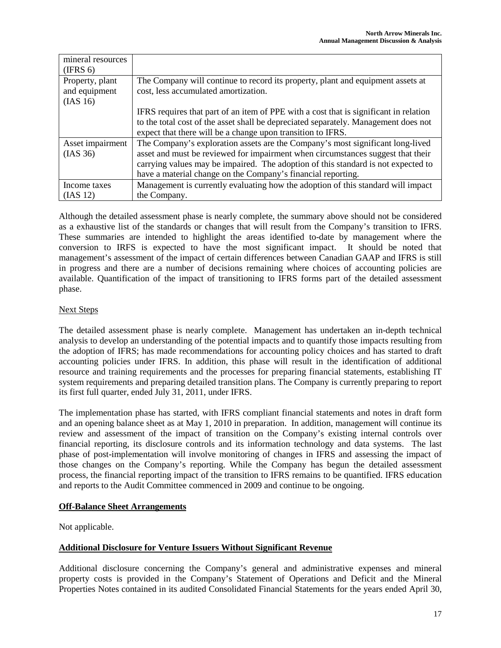| mineral resources |                                                                                       |
|-------------------|---------------------------------------------------------------------------------------|
| (IFRS 6)          |                                                                                       |
| Property, plant   | The Company will continue to record its property, plant and equipment assets at       |
| and equipment     | cost, less accumulated amortization.                                                  |
| (IAS 16)          |                                                                                       |
|                   | IFRS requires that part of an item of PPE with a cost that is significant in relation |
|                   | to the total cost of the asset shall be depreciated separately. Management does not   |
|                   | expect that there will be a change upon transition to IFRS.                           |
| Asset impairment  | The Company's exploration assets are the Company's most significant long-lived        |
| (IAS 36)          | asset and must be reviewed for impairment when circumstances suggest that their       |
|                   | carrying values may be impaired. The adoption of this standard is not expected to     |
|                   | have a material change on the Company's financial reporting.                          |
| Income taxes      | Management is currently evaluating how the adoption of this standard will impact      |
| (IAS 12)          | the Company.                                                                          |

Although the detailed assessment phase is nearly complete, the summary above should not be considered as a exhaustive list of the standards or changes that will result from the Company's transition to IFRS. These summaries are intended to highlight the areas identified to-date by management where the conversion to IRFS is expected to have the most significant impact. It should be noted that management's assessment of the impact of certain differences between Canadian GAAP and IFRS is still in progress and there are a number of decisions remaining where choices of accounting policies are available. Quantification of the impact of transitioning to IFRS forms part of the detailed assessment phase.

## Next Steps

The detailed assessment phase is nearly complete. Management has undertaken an in-depth technical analysis to develop an understanding of the potential impacts and to quantify those impacts resulting from the adoption of IFRS; has made recommendations for accounting policy choices and has started to draft accounting policies under IFRS. In addition, this phase will result in the identification of additional resource and training requirements and the processes for preparing financial statements, establishing IT system requirements and preparing detailed transition plans. The Company is currently preparing to report its first full quarter, ended July 31, 2011, under IFRS.

The implementation phase has started, with IFRS compliant financial statements and notes in draft form and an opening balance sheet as at May 1, 2010 in preparation. In addition, management will continue its review and assessment of the impact of transition on the Company's existing internal controls over financial reporting, its disclosure controls and its information technology and data systems. The last phase of post-implementation will involve monitoring of changes in IFRS and assessing the impact of those changes on the Company's reporting. While the Company has begun the detailed assessment process, the financial reporting impact of the transition to IFRS remains to be quantified. IFRS education and reports to the Audit Committee commenced in 2009 and continue to be ongoing.

## **Off-Balance Sheet Arrangements**

Not applicable.

# **Additional Disclosure for Venture Issuers Without Significant Revenue**

Additional disclosure concerning the Company's general and administrative expenses and mineral property costs is provided in the Company's Statement of Operations and Deficit and the Mineral Properties Notes contained in its audited Consolidated Financial Statements for the years ended April 30,